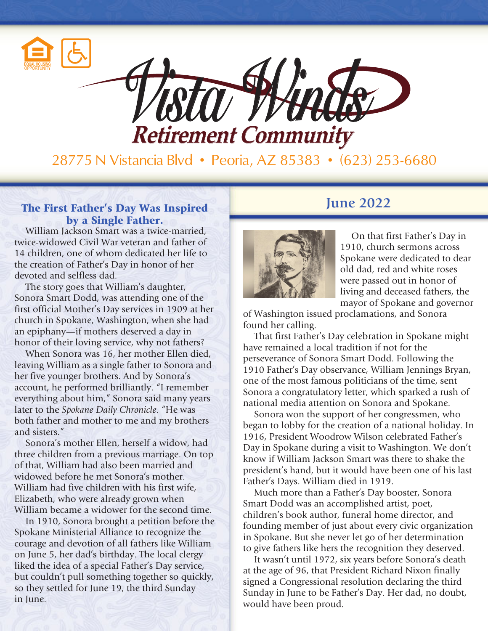



28775 N Vistancia Blvd • Peoria, AZ 85383 • (623) 253-6680

### **The First Father's Day Was Inspired <b>Example 2022** by a Single Father.

William Jackson Smart was a twice-married, twice-widowed Civil War veteran and father of 14 children, one of whom dedicated her life to the creation of Father's Day in honor of her devoted and selfless dad.

The story goes that William's daughter, Sonora Smart Dodd, was attending one of the first official Mother's Day services in 1909 at her church in Spokane, Washington, when she had an epiphany—if mothers deserved a day in honor of their loving service, why not fathers?

When Sonora was 16, her mother Ellen died, leaving William as a single father to Sonora and her five younger brothers. And by Sonora's account, he performed brilliantly. "I remember everything about him," Sonora said many years later to the *Spokane Daily Chronicle*. "He was both father and mother to me and my brothers and sisters."

Sonora's mother Ellen, herself a widow, had three children from a previous marriage. On top of that, William had also been married and widowed before he met Sonora's mother. William had five children with his first wife, Elizabeth, who were already grown when William became a widower for the second time.

In 1910, Sonora brought a petition before the Spokane Ministerial Alliance to recognize the courage and devotion of all fathers like William on June 5, her dad's birthday. The local clergy liked the idea of a special Father's Day service, but couldn't pull something together so quickly, so they settled for June 19, the third Sunday in June.



On that first Father's Day in 1910, church sermons across Spokane were dedicated to dear old dad, red and white roses were passed out in honor of living and deceased fathers, the mayor of Spokane and governor

of Washington issued proclamations, and Sonora found her calling.

That first Father's Day celebration in Spokane might have remained a local tradition if not for the perseverance of Sonora Smart Dodd. Following the 1910 Father's Day observance, William Jennings Bryan, one of the most famous politicians of the time, sent Sonora a congratulatory letter, which sparked a rush of national media attention on Sonora and Spokane.

Sonora won the support of her congressmen, who began to lobby for the creation of a national holiday. In 1916, President Woodrow Wilson celebrated Father's Day in Spokane during a visit to Washington. We don't know if William Jackson Smart was there to shake the president's hand, but it would have been one of his last Father's Days. William died in 1919.

Much more than a Father's Day booster, Sonora Smart Dodd was an accomplished artist, poet, children's book author, funeral home director, and founding member of just about every civic organization in Spokane. But she never let go of her determination to give fathers like hers the recognition they deserved.

It wasn't until 1972, six years before Sonora's death at the age of 96, that President Richard Nixon finally signed a Congressional resolution declaring the third Sunday in June to be Father's Day. Her dad, no doubt, would have been proud.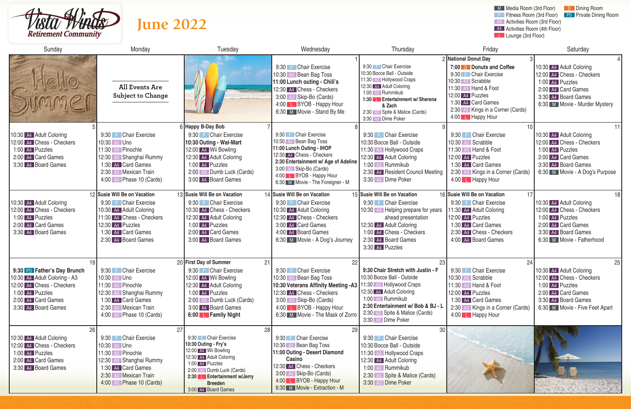

# **June 2022**







| Sunday                                                                                                                                                         | Monday                                                                                                                                                                         | Wednesday<br>Tuesday                                                                                                                                                                                                                   |                                                                                                                                                                                                                                              | Thursday                                                                                                                                                                                                                                        | Friday                                                                                                                                                                                                                            | Saturday                                                                                                                                                     |  |
|----------------------------------------------------------------------------------------------------------------------------------------------------------------|--------------------------------------------------------------------------------------------------------------------------------------------------------------------------------|----------------------------------------------------------------------------------------------------------------------------------------------------------------------------------------------------------------------------------------|----------------------------------------------------------------------------------------------------------------------------------------------------------------------------------------------------------------------------------------------|-------------------------------------------------------------------------------------------------------------------------------------------------------------------------------------------------------------------------------------------------|-----------------------------------------------------------------------------------------------------------------------------------------------------------------------------------------------------------------------------------|--------------------------------------------------------------------------------------------------------------------------------------------------------------|--|
|                                                                                                                                                                | <b>All Events Are</b><br><b>Subject to Change</b>                                                                                                                              |                                                                                                                                                                                                                                        | 9:30 F Chair Exercise<br>10:30 A3 Bean Bag Toss<br>11:00 Lunch outing - Chili's<br>12:30 A4 Chess - Checkers<br>3:00 A3 Skip-Bo (Cards)<br>4:00 L BYOB - Happy Hour<br>6:30 M Movie - Stand By Me                                            | 9:30 F Chair Exercise<br>10:30 Bocce Ball - Outside<br>11:30 A3 Hollywood Craps<br>12:30 A4 Adult Coloring<br>1:00 A3 Rummikub<br>1:30 L Entertainment w/ Sherena<br>& Zach<br>2:30 A3 Spite & Malice (Cards)<br>3:30 A3 Dime Poker             | 2 National Donut Day<br>7:00 D Donuts and Coffee<br>9:30 F Chair Exercise<br>10:30 A3 Scrabble<br>11:30 A3 Hand & Foot<br>12:00 A4 Puzzles<br>1:30 A4 Card Games<br>2:30 A3 Kings in a Corner (Cards)<br>4:00 <b>L</b> Happy Hour | 10:30 A4 Adult Coloring<br>12:00 A4 Chess - Checkers<br>1:00 A4 Puzzles<br>2:00 A4 Card Games<br>3:30 A4 Board Games<br>6:30 M Movie - Murder Mystery        |  |
| 10:30 A4 Adult Coloring<br>12:00 A4 Chess - Checkers<br>1:00 A4 Puzzles<br>2:00 A4 Card Games<br>3:30 A4 Board Games                                           | 9:30 F Chair Exercise<br>10:30 A3 Uno<br>11:30 A3 Pinochle<br>12:30 A3 Shanghai Rummy<br>1:30 A4 Card Games<br>2:30 A3 Mexican Train<br>4:00 A3 Phase 10 (Cards)               | 6 Happy B-Day Bob<br>9:30 F Chair Exercise<br>10:30 Outing - Wal-Mart<br>12:00 A4 Wii Bowling<br>12:30 A4 Adult Coloring<br>1:00 A4 Puzzles<br>2:00 A3 Dumb Luck (Cards)<br>3:00 A4 Board Games                                        | 9:30 F Chair Exercise<br>10:30 A3 Bean Bag Toss<br>11:00 Lunch Outing - IHOP<br>12:30 A4 Chess - Checkers<br>2:30 Entertainment w/ Age of Adeline<br>3:00 A3 Skip-Bo (Cards)<br>4:00 L BYOB - Happy Hour<br>6:30 M Movie - The Foreigner - M | 9:30 F Chair Exercise<br>10:30 Bocce Ball - Outside<br>11:30 A3 Hollywood Craps<br>12:30 A4 Adult Coloring<br>1:00 A3 Rummikub<br>2:30 A4 Resident Council Meeting<br>3:30 A3 Dime Poker                                                        | 9:30 F Chair Exercise<br>10:30 A <sub>3</sub> Scrabble<br>11:30 A <sub>3</sub> Hand & Foot<br>12:00 A4 Puzzles<br>1:30 A4 Card Games<br>2:30 A3 Kings in a Corner (Cards)<br>4:00 L Happy Hour                                    | 10:30 A4 Adult Coloring<br>12:00 A4 Chess - Checkers<br>1:00 A4 Puzzles<br>2:00 A4 Card Games<br>3:30 A4 Board Games<br>6:30 M Movie - A Dog's Purpose       |  |
| 10:30 A4 Adult Coloring<br>12:00 A4 Chess - Checkers<br>1:00 A4 Puzzles<br>2:00 A4 Card Games<br>3:30 A4 Board Games                                           | 12 Susie Will Be on Vacation<br>9:30 F Chair Exercise<br>10:30 A4 Adult Coloring<br>11:30 A4 Chess - Checkers<br>12:30 A4 Puzzles<br>1:30 A4 Card Games<br>2:30 A4 Board Games | 13 Susie Will Be on Vacation<br>9:30 F Chair Exercise<br>10:30 A4 Chess - Checkers<br>12:30 A4 Adult Coloring<br>1:00 A4 Puzzles<br>2:00 A4 Card Games<br>3:00 A4 Board Games                                                          | 14 Susie Will Be on Vacation<br>9:30 F Chair Exercise<br>10:30 A4 Adult Coloring<br>12:30 A4 Chess - Checkers<br>3:00 A4 Card Games<br>4:00 A4 Board Games<br>6:30 M Movie - A Dog's Journey                                                 | 15 Susie Will Be on Vacation<br>9:30 F Chair Exercise<br>10:30 A3 Helping prepare for years<br>ahead presentation<br>12:30 A4 Adult Coloring<br>1:00 A4 Chess - Checkers<br>2:30 A4 Board Games<br>3:30 A4 Puzzles                              | 16 Susie Will Be on Vacation<br>17<br>9:30 F Chair Exercise<br>11:30 A4 Adult Coloring<br>12:00 A4 Puzzles<br>1:30 A4 Card Games<br>2:30 A4 Chess - Checkers<br>4:00 A4 Board Games                                               | 18<br>10:30 A4 Adult Coloring<br>12:00 A4 Chess - Checkers<br>1:00 A4 Puzzles<br>2:00 A4 Card Games<br>3:30 A4 Board Games<br>6:30 M Movie - Fatherhood      |  |
| 19<br>9:30 PD Father's Day Brunch<br>10:30 A4 Adult Coloring - A3<br>12:00 A4 Chess - Checkers<br>1:00 A4 Puzzles<br>2:00 A4 Card Games<br>3:30 A4 Board Games | 9:30 F Chair Exercise<br>10:30 A3 Uno<br>11:30 A3 Pinochle<br>12:30 A3 Shanghai Rummy<br>1:30 A4 Card Games<br>2:30 A3 Mexican Train<br>4:00 A3 Phase 10 (Cards)               | 20 First Day of Summer<br>9:30 F Chair Exercise<br>12:00 A4 Wii Bowling<br>12:30 A4 Adult Coloring<br>1:00 A4 Puzzles<br>2:00 A3 Dumb Luck (Cards)<br>3:00 A4 Board Games<br>6:00 <b>L</b> Family Night                                | 21<br>22<br>9:30 F Chair Exercise<br>10:30 A3 Bean Bag Toss<br>10:30 Veterans Affinity Meeting -A3<br>12:30 A4 Chess - Checkers<br>3:00 A3 Skip-Bo (Cards)<br>4:00 <b>L</b> BYOB - Happy Hour<br>6:30 M Movie - The Mask of Zorro            | 23<br>9:30 Chair Stretch with Justin - F<br>10:30 Bocce Ball - Outside<br>11:30 A3 Hollywood Craps<br>12:30 A4 Adult Coloring<br>1:00 A3 Rummikub<br>2:30 Entertainment w/ Bob & BJ - L<br>2:30 A3 Spite & Malice (Cards)<br>3:30 A3 Dime Poker | 24<br>9:30 F Chair Exercise<br>10:30 A3 Scrabble<br>11:30 A3 Hand & Foot<br>12:00 A4 Puzzles<br>1:30 A4 Card Games<br>2:30 A3 Kings in a Corner (Cards)<br>4:00 L Happy Hour                                                      | 25<br>10:30 A4 Adult Coloring<br>12:00 A4 Chess - Checkers<br>1:00 A4 Puzzles<br>2:00 A4 Card Games<br>3:30 A4 Board Games<br>6:30 M Movie - Five Feet Apart |  |
| 26<br>10:30 A4 Adult Coloring<br>12:00 A4 Chess - Checkers<br>1:00 A4 Puzzles<br>2:00 A4 Card Games<br>3:30 A4 Board Games                                     | 9:30 F Chair Exercise<br>10:30 A3 Uno<br>11:30 A3 Pinochle<br>12:30 A3 Shanghai Rummy<br>1:30 A4 Card Games<br>2:30 A3 Mexican Train<br>4:00 A3 Phase 10 (Cards)               | 27<br>9:30 F Chair Exercise<br>10:30 Outing - Fry's<br>12:00 A4 Wii Bowling<br>12:30 A4 Adult Coloring<br>1:00 A4 Puzzles<br>2:00 A3 Dumb Luck (Cards)<br>2:30 <b>L</b> Entertainment w/Jerry<br><b>Breeden</b><br>3:00 A4 Board Games | 28<br>29<br>9:30 F Chair Exercise<br>10:30 A3 Bean Bag Toss<br>11:00 Outing - Desert Diamond<br>Casino<br>12:30 A4 Chess - Checkers<br>3:00 A3 Skip-Bo (Cards)<br>4:00 L BYOB - Happy Hour<br>6:30 M Movie - Extraction - M                  | 30 <sup>°</sup><br>9:30 F Chair Exercise<br>10:30 Bocce Ball - Outside<br>11:30 A3 Hollywood Craps<br>12:30 A4 Adult Coloring<br>1:00 A3 Rummikub<br>2:30 A3 Spite & Malice (Cards)<br>3:30 A3 Dime Poker                                       |                                                                                                                                                                                                                                   |                                                                                                                                                              |  |